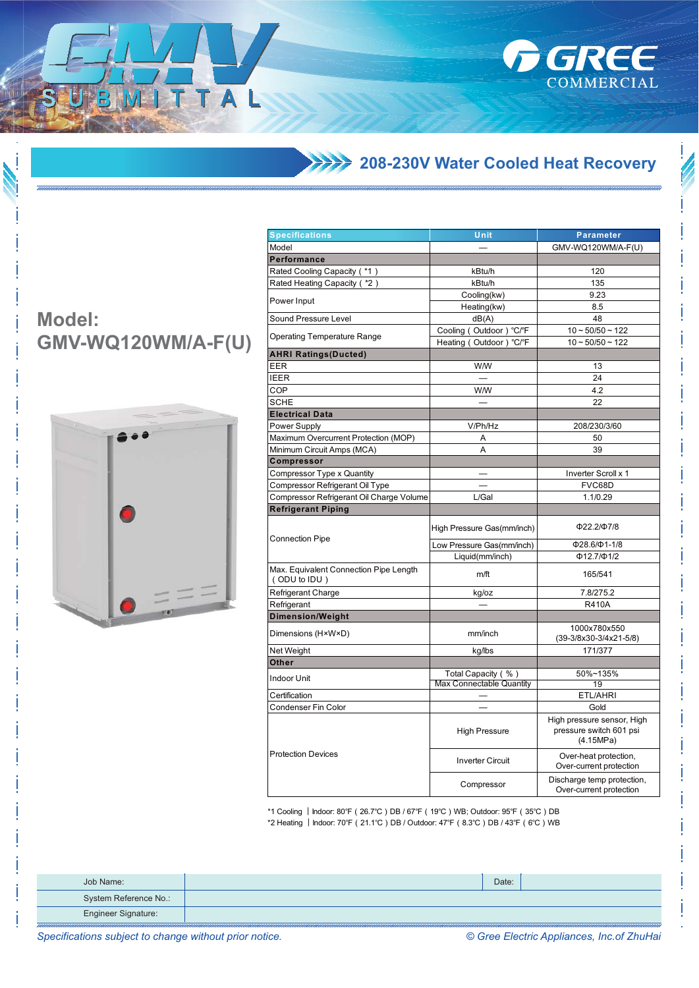1444 208-230V Water Cooled Heat Recovery

**FIGREE** 

COMMERCIAL

## **Model: GMV-WQ120WM/A-F(U)**

 $1T$ 

T A



| <b>Specifications</b>                                  | Unit                                           | <b>Parameter</b>                                                   |  |  |
|--------------------------------------------------------|------------------------------------------------|--------------------------------------------------------------------|--|--|
| Model                                                  |                                                | GMV-WQ120WM/A-F(U)                                                 |  |  |
| Performance                                            |                                                |                                                                    |  |  |
| Rated Cooling Capacity (*1)                            | kBtu/h                                         | 120                                                                |  |  |
| Rated Heating Capacity (*2)                            | kBtu/h                                         | 135                                                                |  |  |
|                                                        | Cooling(kw)                                    | 9.23                                                               |  |  |
| Power Input                                            | Heating(kw)                                    | 8.5                                                                |  |  |
| Sound Pressure Level                                   | dB(A)                                          | 48                                                                 |  |  |
|                                                        | Cooling (Outdoor) °C/°F                        | $10 - 50/50 - 122$                                                 |  |  |
| <b>Operating Temperature Range</b>                     | Heating (Outdoor) °C/°F                        | $10 - 50/50 - 122$                                                 |  |  |
| <b>AHRI Ratings(Ducted)</b>                            |                                                |                                                                    |  |  |
| <b>EER</b>                                             | <b>W/W</b>                                     | 13                                                                 |  |  |
| <b>IEER</b>                                            |                                                | 24                                                                 |  |  |
| COP                                                    | <b>W/W</b>                                     | 4.2                                                                |  |  |
| <b>SCHE</b>                                            |                                                |                                                                    |  |  |
|                                                        |                                                | 22                                                                 |  |  |
| <b>Electrical Data</b>                                 |                                                |                                                                    |  |  |
| Power Supply                                           | V/Ph/Hz                                        | 208/230/3/60                                                       |  |  |
| Maximum Overcurrent Protection (MOP)                   | Α                                              | 50                                                                 |  |  |
| Minimum Circuit Amps (MCA)                             | A                                              | 39                                                                 |  |  |
| <b>Compressor</b>                                      |                                                |                                                                    |  |  |
| Compressor Type x Quantity                             |                                                | Inverter Scroll x 1                                                |  |  |
| Compressor Refrigerant Oil Type                        |                                                | FVC68D                                                             |  |  |
| Compressor Refrigerant Oil Charge Volume               | L/Gal                                          | 1.1/0.29                                                           |  |  |
| <b>Refrigerant Piping</b>                              |                                                |                                                                    |  |  |
| <b>Connection Pipe</b>                                 | High Pressure Gas(mm/inch)                     | Ф22.2/Ф7/8                                                         |  |  |
|                                                        | Low Pressure Gas(mm/inch)                      | Ф28.6/Ф1-1/8                                                       |  |  |
|                                                        | Liquid(mm/inch)                                | $\Phi$ 12.7/ $\Phi$ 1/2                                            |  |  |
| Max. Equivalent Connection Pipe Length<br>(ODU to IDU) | m/ft                                           | 165/541                                                            |  |  |
| Refrigerant Charge                                     | kg/oz                                          | 7.8/275.2                                                          |  |  |
| Refrigerant                                            |                                                | <b>R410A</b>                                                       |  |  |
| <b>Dimension/Weight</b>                                |                                                |                                                                    |  |  |
| Dimensions (H×W×D)                                     | mm/inch                                        | 1000x780x550<br>$(39-3/8x30-3/4x21-5/8)$                           |  |  |
| Net Weight                                             | kg/lbs                                         | 171/377                                                            |  |  |
| Other                                                  |                                                |                                                                    |  |  |
| Indoor Unit                                            | Total Capacity (%)<br>Max Connectable Quantity | 50%~135%<br>19                                                     |  |  |
| Certification                                          |                                                | ETL/AHRI                                                           |  |  |
| Condenser Fin Color                                    |                                                | Gold                                                               |  |  |
| <b>Protection Devices</b>                              | <b>High Pressure</b>                           | High pressure sensor, High<br>pressure switch 601 psi<br>(4.15MPa) |  |  |
|                                                        | <b>Inverter Circuit</b>                        | Over-heat protection,<br>Over-current protection                   |  |  |
|                                                        | Compressor                                     | Discharge temp protection,<br>Over-current protection              |  |  |

\*1 Cooling | Indoor: 80°F (26.7°C) DB / 67°F (19°C) WB; Outdoor: 95°F (35°C) DB

\*2 Heating | Indoor: 70°F (21.1°C) DB / Outdoor: 47°F (8.3°C) DB / 43°F (6°C) WB

| Job Name:             | Date: |  |
|-----------------------|-------|--|
| System Reference No.: |       |  |
| Engineer Signature:   |       |  |

Specifications subject to change without prior notice.

© Gree Electric Appliances, Inc.of ZhuHai